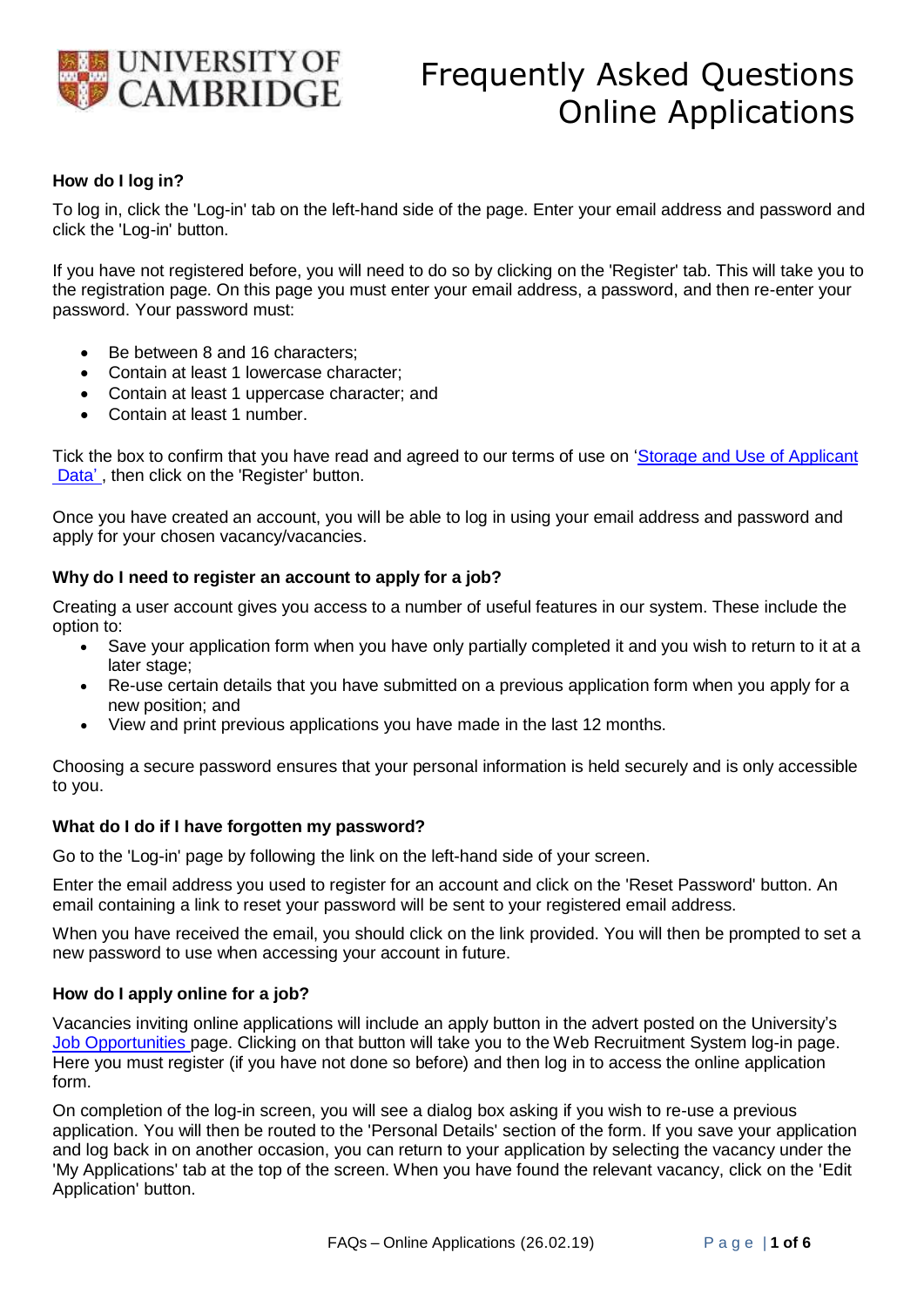

# **How do I log in?**

To log in, click the 'Log-in' tab on the left-hand side of the page. Enter your email address and password and click the 'Log-in' button.

If you have not registered before, you will need to do so by clicking on the 'Register' tab. This will take you to the registration page. On this page you must enter your email address, a password, and then re-enter your password. Your password must:

- Be between 8 and 16 characters;
- Contain at least 1 lowercase character;
- Contain at least 1 uppercase character; and
- Contain at least 1 number.

Tick the box to confirm that you have read and agreed to our terms of u[se on 'Storage and](http://www.hr.admin.cam.ac.uk/hr-staff/hr-data/applicant-data) Use of Applicant [Data'](http://www.hr.admin.cam.ac.uk/hr-staff/hr-data/applicant-data), then click on the 'Register' button.

Once you have created an account, you will be able to log in using your email address and password and apply for your chosen vacancy/vacancies.

### **Why do I need to register an account to apply for a job?**

Creating a user account gives you access to a number of useful features in our system. These include the option to:

- Save your application form when you have only partially completed it and you wish to return to it at a later stage;
- Re-use certain details that you have submitted on a previous application form when you apply for a new position; and
- View and print previous applications you have made in the last 12 months.

Choosing a secure password ensures that your personal information is held securely and is only accessible to you.

#### **What do I do if I have forgotten my password?**

Go to the 'Log-in' page by following the link on the left-hand side of your screen.

Enter the email address you used to register for an account and click on the 'Reset Password' button. An email containing a link to reset your password will be sent to your registered email address.

When you have received the email, you should click on the link provided. You will then be prompted to set a new password to use when accessing your account in future.

#### **How do I apply online for a job?**

Vacancies inviting online applications will include an apply button in the advert posted on the University's [Job Opportunities](http://www.jobs.cam.ac.uk/) page. Clicking on that button will take you to the Web Recruitment System log-in page. Here you must register (if you have not done so before) and then log in to access the online application form.

On completion of the log-in screen, you will see a dialog box asking if you wish to re-use a previous application. You will then be routed to the 'Personal Details' section of the form. If you save your application and log back in on another occasion, you can return to your application by selecting the vacancy under the 'My Applications' tab at the top of the screen. When you have found the relevant vacancy, click on the 'Edit Application' button.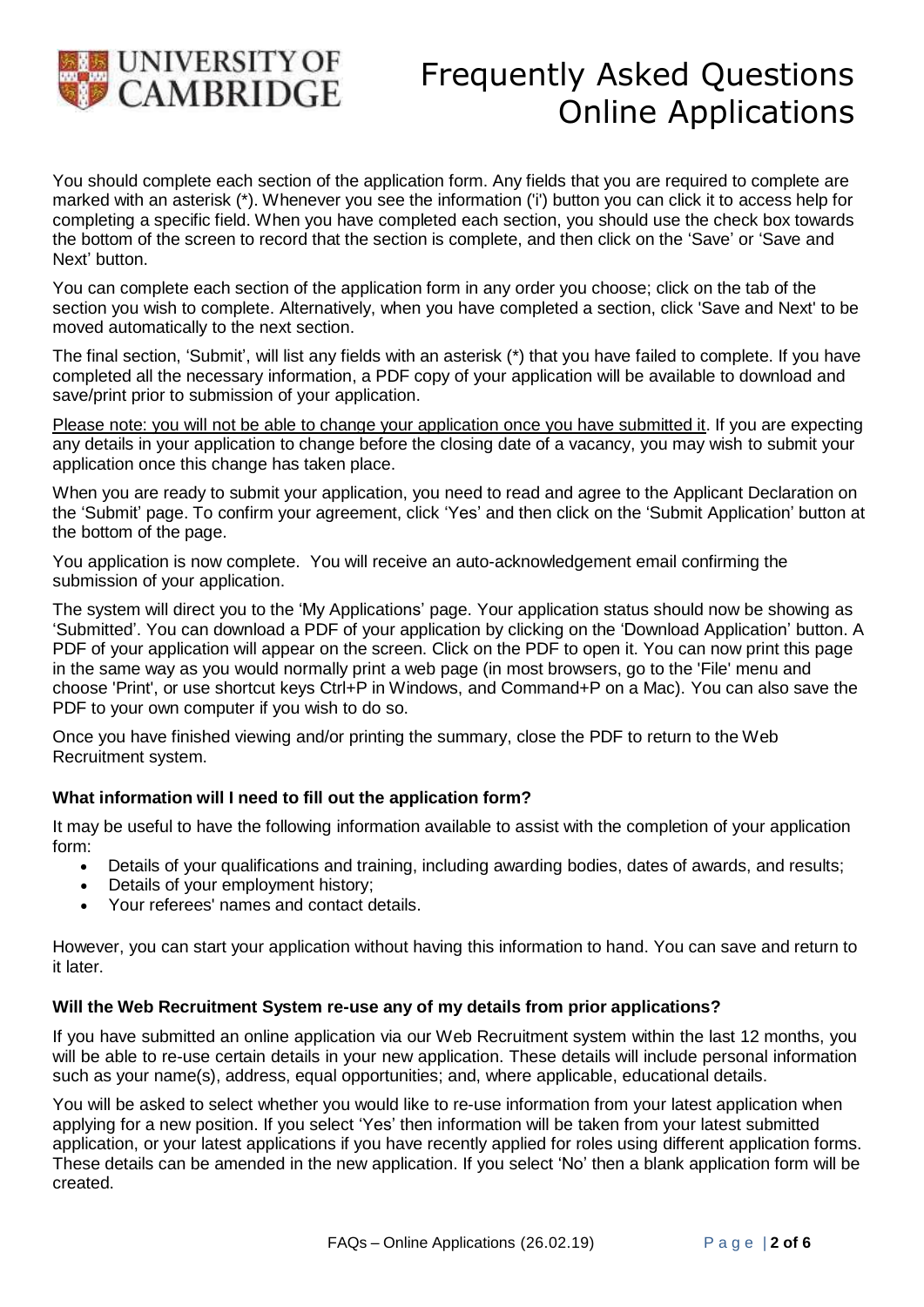

You should complete each section of the application form. Any fields that you are required to complete are marked with an asterisk (\*). Whenever you see the information ('i') button you can click it to access help for completing a specific field. When you have completed each section, you should use the check box towards the bottom of the screen to record that the section is complete, and then click on the 'Save' or 'Save and Next' button.

You can complete each section of the application form in any order you choose; click on the tab of the section you wish to complete. Alternatively, when you have completed a section, click 'Save and Next' to be moved automatically to the next section.

The final section, 'Submit', will list any fields with an asterisk (\*) that you have failed to complete. If you have completed all the necessary information, a PDF copy of your application will be available to download and save/print prior to submission of your application.

Please note: you will not be able to change your application once you have submitted it. If you are expecting any details in your application to change before the closing date of a vacancy, you may wish to submit your application once this change has taken place.

When you are ready to submit your application, you need to read and agree to the Applicant Declaration on the 'Submit' page. To confirm your agreement, click 'Yes' and then click on the 'Submit Application' button at the bottom of the page.

You application is now complete. You will receive an auto-acknowledgement email confirming the submission of your application.

The system will direct you to the 'My Applications' page. Your application status should now be showing as 'Submitted'. You can download a PDF of your application by clicking on the 'Download Application' button. A PDF of your application will appear on the screen. Click on the PDF to open it. You can now print this page in the same way as you would normally print a web page (in most browsers, go to the 'File' menu and choose 'Print', or use shortcut keys Ctrl+P in Windows, and Command+P on a Mac). You can also save the PDF to your own computer if you wish to do so.

Once you have finished viewing and/or printing the summary, close the PDF to return to the Web Recruitment system.

# **What information will I need to fill out the application form?**

It may be useful to have the following information available to assist with the completion of your application form:

- Details of your qualifications and training, including awarding bodies, dates of awards, and results;
- Details of your employment history;
- Your referees' names and contact details.

However, you can start your application without having this information to hand. You can save and return to it later.

## **Will the Web Recruitment System re-use any of my details from prior applications?**

If you have submitted an online application via our Web Recruitment system within the last 12 months, you will be able to re-use certain details in your new application. These details will include personal information such as your name(s), address, equal opportunities; and, where applicable, educational details.

You will be asked to select whether you would like to re-use information from your latest application when applying for a new position. If you select 'Yes' then information will be taken from your latest submitted application, or your latest applications if you have recently applied for roles using different application forms. These details can be amended in the new application. If you select 'No' then a blank application form will be created.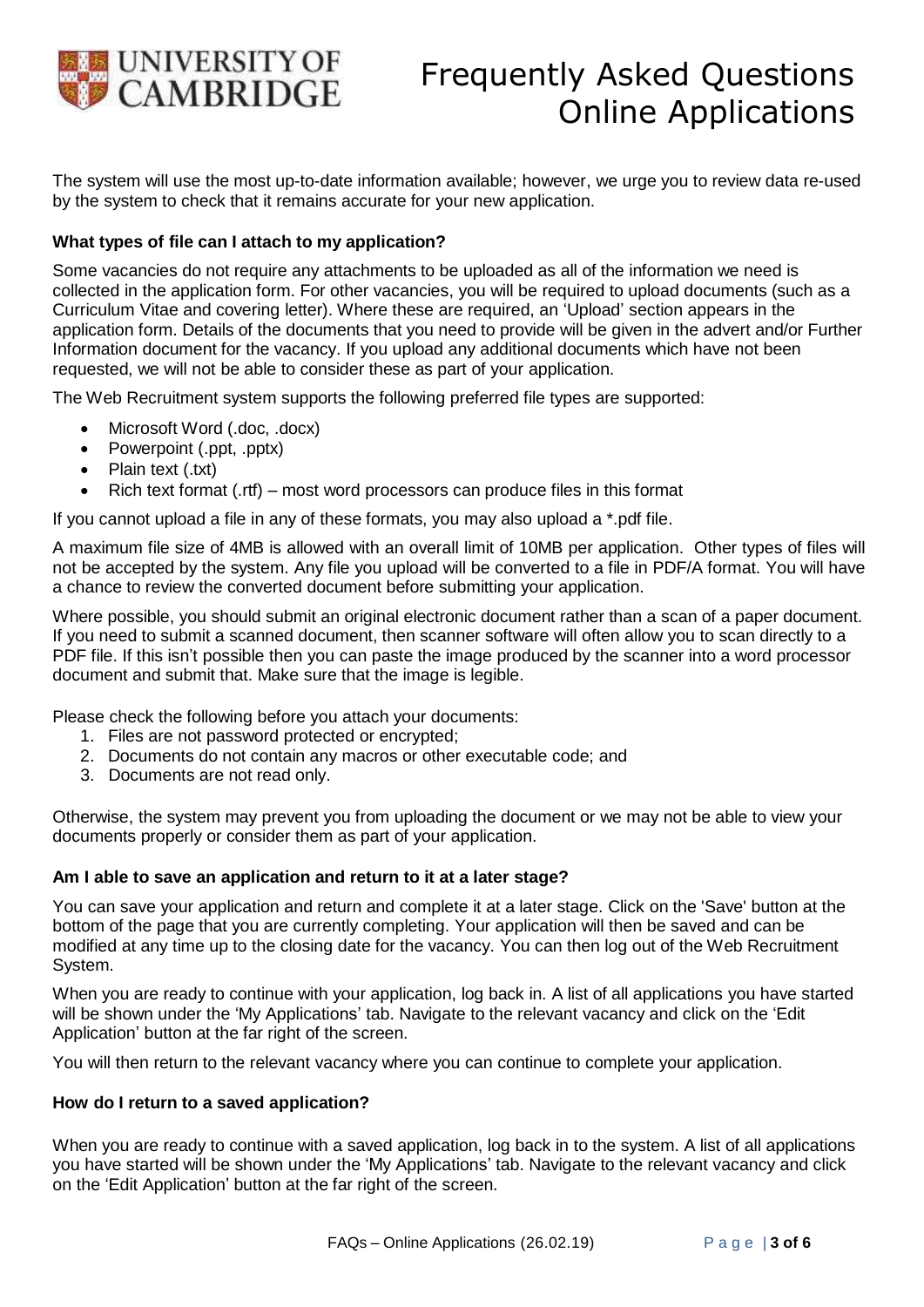

The system will use the most up-to-date information available; however, we urge you to review data re-used by the system to check that it remains accurate for your new application.

# **What types of file can I attach to my application?**

Some vacancies do not require any attachments to be uploaded as all of the information we need is collected in the application form. For other vacancies, you will be required to upload documents (such as a Curriculum Vitae and covering letter). Where these are required, an 'Upload' section appears in the application form. Details of the documents that you need to provide will be given in the advert and/or Further Information document for the vacancy. If you upload any additional documents which have not been requested, we will not be able to consider these as part of your application.

The Web Recruitment system supports the following preferred file types are supported:

- Microsoft Word (.doc, .docx)
- Powerpoint (.ppt, .pptx)
- Plain text (.txt)
- Rich text format (.rtf) most word processors can produce files in this format

If you cannot upload a file in any of these formats, you may also upload a \*.pdf file.

A maximum file size of 4MB is allowed with an overall limit of 10MB per application. Other types of files will not be accepted by the system. Any file you upload will be converted to a file in PDF/A format. You will have a chance to review the converted document before submitting your application.

Where possible, you should submit an original electronic document rather than a scan of a paper document. If you need to submit a scanned document, then scanner software will often allow you to scan directly to a PDF file. If this isn't possible then you can paste the image produced by the scanner into a word processor document and submit that. Make sure that the image is legible.

Please check the following before you attach your documents:

- 1. Files are not password protected or encrypted;
- 2. Documents do not contain any macros or other executable code; and
- 3. Documents are not read only.

Otherwise, the system may prevent you from uploading the document or we may not be able to view your documents properly or consider them as part of your application.

## **Am I able to save an application and return to it at a later stage?**

You can save your application and return and complete it at a later stage. Click on the 'Save' button at the bottom of the page that you are currently completing. Your application will then be saved and can be modified at any time up to the closing date for the vacancy. You can then log out of the Web Recruitment System.

When you are ready to continue with your application, log back in. A list of all applications you have started will be shown under the 'My Applications' tab. Navigate to the relevant vacancy and click on the 'Edit Application' button at the far right of the screen.

You will then return to the relevant vacancy where you can continue to complete your application.

#### **How do I return to a saved application?**

When you are ready to continue with a saved application, log back in to the system. A list of all applications you have started will be shown under the 'My Applications' tab. Navigate to the relevant vacancy and click on the 'Edit Application' button at the far right of the screen.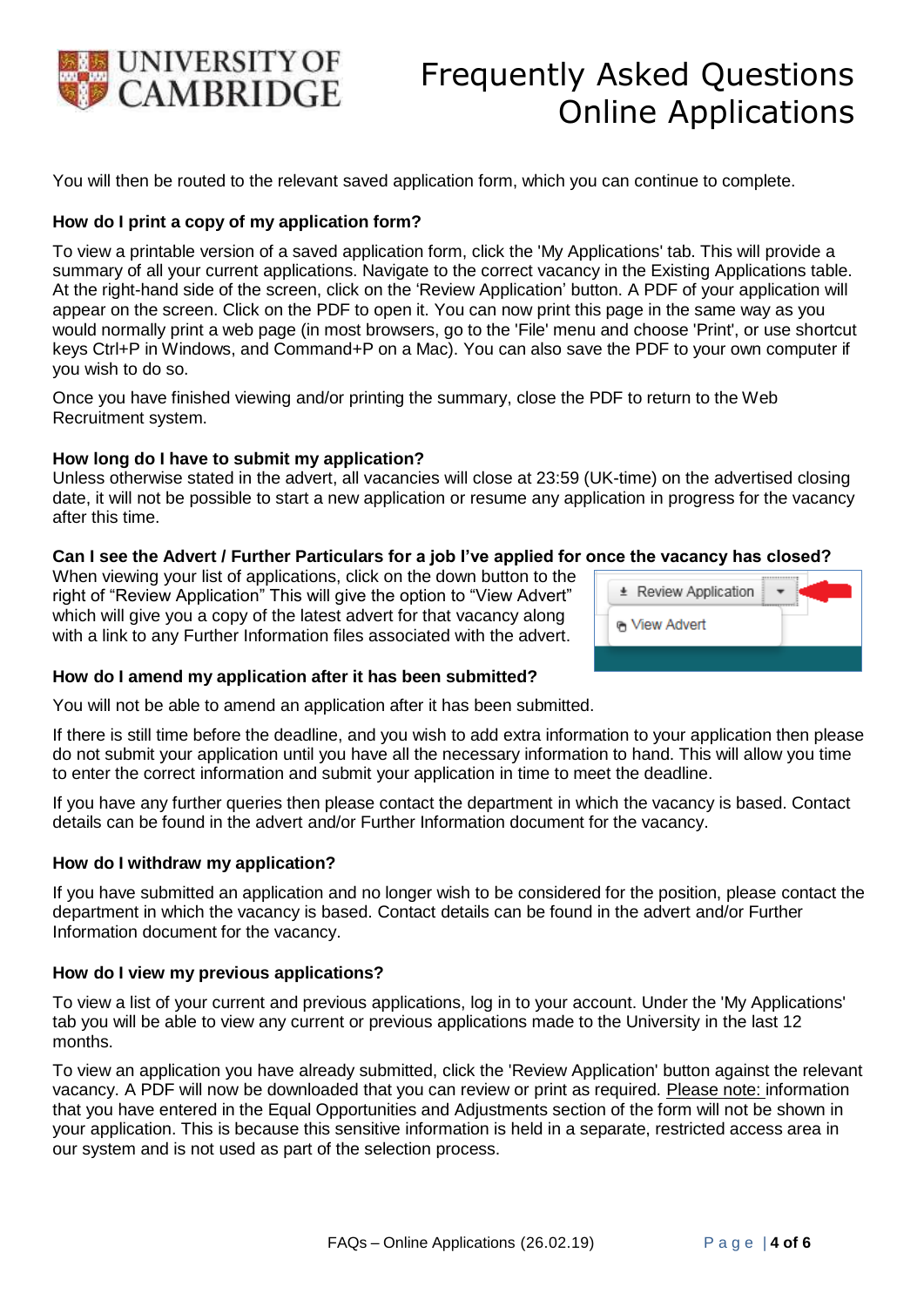

You will then be routed to the relevant saved application form, which you can continue to complete.

### **How do I print a copy of my application form?**

To view a printable version of a saved application form, click the 'My Applications' tab. This will provide a summary of all your current applications. Navigate to the correct vacancy in the Existing Applications table. At the right-hand side of the screen, click on the 'Review Application' button. A PDF of your application will appear on the screen. Click on the PDF to open it. You can now print this page in the same way as you would normally print a web page (in most browsers, go to the 'File' menu and choose 'Print', or use shortcut keys Ctrl+P in Windows, and Command+P on a Mac). You can also save the PDF to your own computer if you wish to do so.

Once you have finished viewing and/or printing the summary, close the PDF to return to the Web Recruitment system.

### **How long do I have to submit my application?**

Unless otherwise stated in the advert, all vacancies will close at 23:59 (UK-time) on the advertised closing date, it will not be possible to start a new application or resume any application in progress for the vacancy after this time.

### **Can I see the Advert / Further Particulars for a job I've applied for once the vacancy has closed?**

When viewing your list of applications, click on the down button to the right of "Review Application" This will give the option to "View Advert" which will give you a copy of the latest advert for that vacancy along with a link to any Further Information files associated with the advert.

| * Review Application |
|----------------------|
| <b>G</b> View Advert |
|                      |

#### **How do I amend my application after it has been submitted?**

You will not be able to amend an application after it has been submitted.

If there is still time before the deadline, and you wish to add extra information to your application then please do not submit your application until you have all the necessary information to hand. This will allow you time to enter the correct information and submit your application in time to meet the deadline.

If you have any further queries then please contact the department in which the vacancy is based. Contact details can be found in the advert and/or Further Information document for the vacancy.

#### **How do I withdraw my application?**

If you have submitted an application and no longer wish to be considered for the position, please contact the department in which the vacancy is based. Contact details can be found in the advert and/or Further Information document for the vacancy.

#### **How do I view my previous applications?**

To view a list of your current and previous applications, log in to your account. Under the 'My Applications' tab you will be able to view any current or previous applications made to the University in the last 12 months.

To view an application you have already submitted, click the 'Review Application' button against the relevant vacancy. A PDF will now be downloaded that you can review or print as required. Please note: information that you have entered in the Equal Opportunities and Adjustments section of the form will not be shown in your application. This is because this sensitive information is held in a separate, restricted access area in our system and is not used as part of the selection process.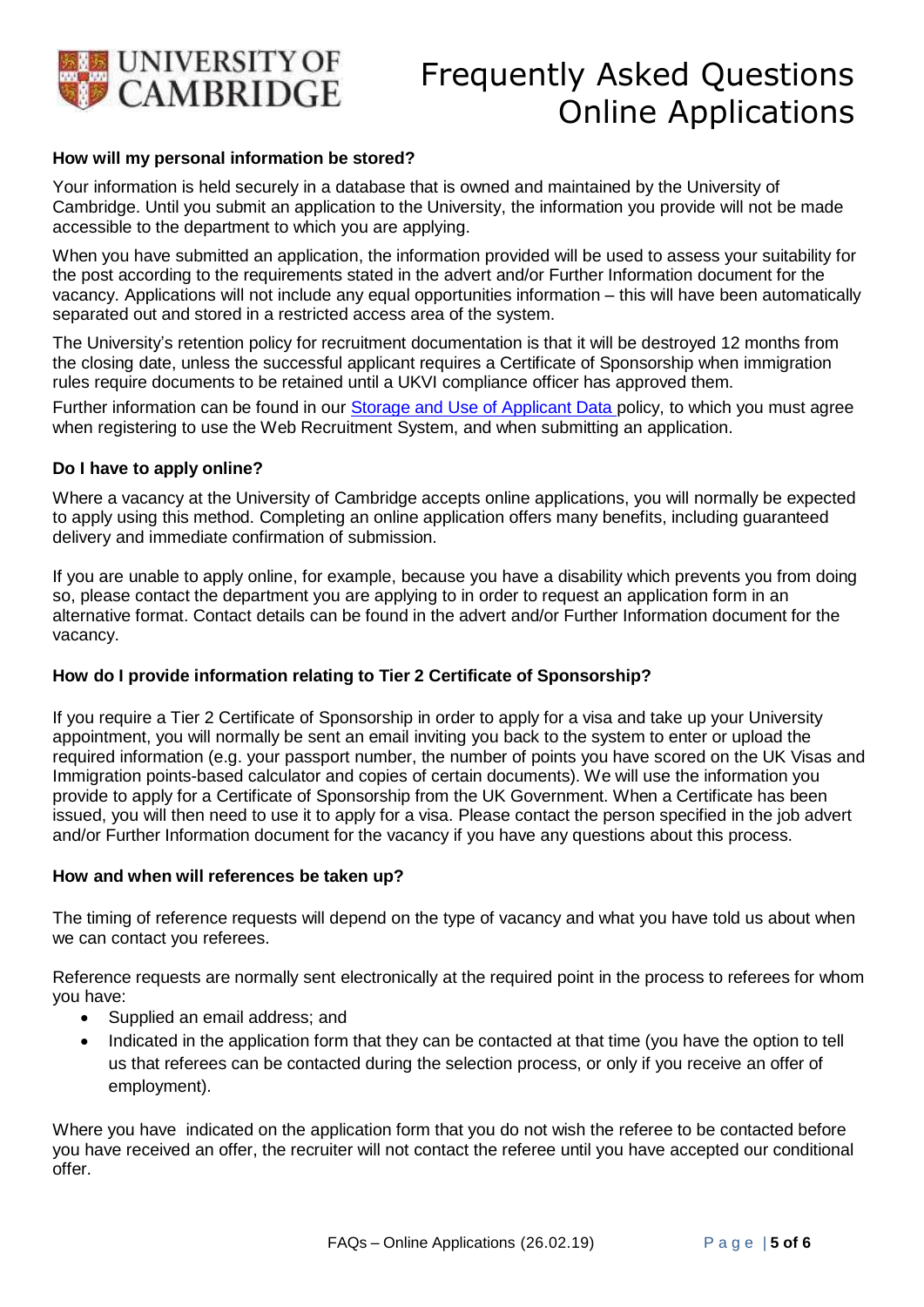

### **How will my personal information be stored?**

Your information is held securely in a database that is owned and maintained by the University of Cambridge. Until you submit an application to the University, the information you provide will not be made accessible to the department to which you are applying.

When you have submitted an application, the information provided will be used to assess your suitability for the post according to the requirements stated in the advert and/or Further Information document for the vacancy. Applications will not include any equal opportunities information – this will have been automatically separated out and stored in a restricted access area of the system.

The University's retention policy for recruitment documentation is that it will be destroyed 12 months from the closing date, unless the successful applicant requires a Certificate of Sponsorship when immigration rules require documents to be retained until a UKVI compliance officer has approved them.

Further information can be found in our Storage [and Use of](http://www.hr.admin.cam.ac.uk/hr-staff/hr-data/applicant-data) Applicant Data policy, to which you must agree when registering to use the Web Recruitment System, and when submitting an application.

#### **Do I have to apply online?**

Where a vacancy at the University of Cambridge accepts online applications, you will normally be expected to apply using this method. Completing an online application offers many benefits, including guaranteed delivery and immediate confirmation of submission.

If you are unable to apply online, for example, because you have a disability which prevents you from doing so, please contact the department you are applying to in order to request an application form in an alternative format. Contact details can be found in the advert and/or Further Information document for the vacancy.

## **How do I provide information relating to Tier 2 Certificate of Sponsorship?**

If you require a Tier 2 Certificate of Sponsorship in order to apply for a visa and take up your University appointment, you will normally be sent an email inviting you back to the system to enter or upload the required information (e.g. your passport number, the number of points you have scored on the UK Visas and Immigration points-based calculator and copies of certain documents). We will use the information you provide to apply for a Certificate of Sponsorship from the UK Government. When a Certificate has been issued, you will then need to use it to apply for a visa. Please contact the person specified in the job advert and/or Further Information document for the vacancy if you have any questions about this process.

#### **How and when will references be taken up?**

The timing of reference requests will depend on the type of vacancy and what you have told us about when we can contact you referees.

Reference requests are normally sent electronically at the required point in the process to referees for whom you have:

- Supplied an email address; and
- Indicated in the application form that they can be contacted at that time (you have the option to tell us that referees can be contacted during the selection process, or only if you receive an offer of employment).

Where you have indicated on the application form that you do not wish the referee to be contacted before you have received an offer, the recruiter will not contact the referee until you have accepted our conditional offer.